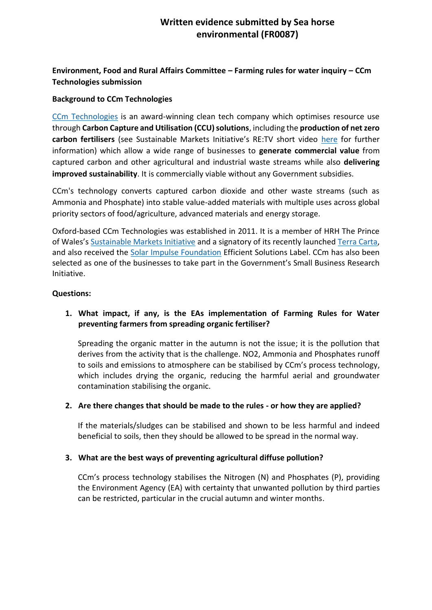# **[Written evidence submitted by Sea h](https://ccmtechnologies.co.uk/)orse environmental (FR0087)**

# **Environment, Food and Rural Affairs Committee – Farming rules for water inquiry – CCm Technologies submission**

### **Background to CCm Technologies**

[CCm Technologies](https://ccmtechnologies.co.uk/) is an award-winning clean tech company which optimises resource use through **Carbon Capture and Utilisation (CCU) solutions**, including the **production of net zero carbon fertilisers** (see Sustainable Markets Initiative's RE:TV short video [here](https://www.youtube.com/watch?v=kyv2Iadmeso&feature=youtu.be) for further information) which allow a wide range of businesses to **generate commercial value** from captured carbon and other agricultural and industrial waste streams while also **delivering improved sustainability**. It is commercially viable without any Government subsidies.

CCm's technology converts captured carbon dioxide and other waste streams (such as Ammonia and Phosphate) into stable value-added materials with multiple uses across global priority sectors of food/agriculture, advanced materials and energy storage.

Oxford-based CCm Technologies was established in 2011. It is a member of HRH The Prince of Wales's [Sustainable Markets Initiative](https://www.sustainable-markets.org/) and a signatory of its recently launched [Terra Carta,](https://www.sustainable-markets.org/terra-carta/) and also received the [Solar Impulse Foundation](https://solarimpulse.com/efficient-solutions/ccm-technologies) Efficient Solutions Label. CCm has also been selected as one of the businesses to take part in the Government's Small Business Research Initiative.

#### **Questions:**

## **1. What impact, if any, is the EAs implementation of Farming Rules for Water preventing farmers from spreading organic fertiliser?**

Spreading the organic matter in the autumn is not the issue; it is the pollution that derives from the activity that is the challenge. NO2, Ammonia and Phosphates runoff to soils and emissions to atmosphere can be stabilised by CCm's process technology, which includes drying the organic, reducing the harmful aerial and groundwater contamination stabilising the organic.

#### **2. Are there changes that should be made to the rules - or how they are applied?**

If the materials/sludges can be stabilised and shown to be less harmful and indeed beneficial to soils, then they should be allowed to be spread in the normal way.

#### **3. What are the best ways of preventing agricultural diffuse pollution?**

CCm's process technology stabilises the Nitrogen (N) and Phosphates (P), providing the Environment Agency (EA) with certainty that unwanted pollution by third parties can be restricted, particular in the crucial autumn and winter months.